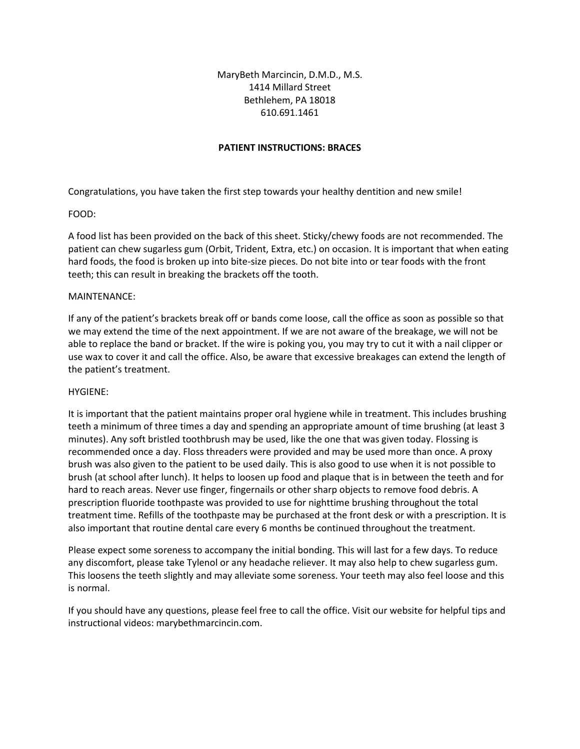# MaryBeth Marcincin, D.M.D., M.S. 1414 Millard Street Bethlehem, PA 18018 610.691.1461

# **PATIENT INSTRUCTIONS: BRACES**

Congratulations, you have taken the first step towards your healthy dentition and new smile!

## FOOD:

A food list has been provided on the back of this sheet. Sticky/chewy foods are not recommended. The patient can chew sugarless gum (Orbit, Trident, Extra, etc.) on occasion. It is important that when eating hard foods, the food is broken up into bite-size pieces. Do not bite into or tear foods with the front teeth; this can result in breaking the brackets off the tooth.

## MAINTENANCE:

If any of the patient's brackets break off or bands come loose, call the office as soon as possible so that we may extend the time of the next appointment. If we are not aware of the breakage, we will not be able to replace the band or bracket. If the wire is poking you, you may try to cut it with a nail clipper or use wax to cover it and call the office. Also, be aware that excessive breakages can extend the length of the patient's treatment.

## HYGIENE:

It is important that the patient maintains proper oral hygiene while in treatment. This includes brushing teeth a minimum of three times a day and spending an appropriate amount of time brushing (at least 3 minutes). Any soft bristled toothbrush may be used, like the one that was given today. Flossing is recommended once a day. Floss threaders were provided and may be used more than once. A proxy brush was also given to the patient to be used daily. This is also good to use when it is not possible to brush (at school after lunch). It helps to loosen up food and plaque that is in between the teeth and for hard to reach areas. Never use finger, fingernails or other sharp objects to remove food debris. A prescription fluoride toothpaste was provided to use for nighttime brushing throughout the total treatment time. Refills of the toothpaste may be purchased at the front desk or with a prescription. It is also important that routine dental care every 6 months be continued throughout the treatment.

Please expect some soreness to accompany the initial bonding. This will last for a few days. To reduce any discomfort, please take Tylenol or any headache reliever. It may also help to chew sugarless gum. This loosens the teeth slightly and may alleviate some soreness. Your teeth may also feel loose and this is normal.

If you should have any questions, please feel free to call the office. Visit our website for helpful tips and instructional videos: marybethmarcincin.com.